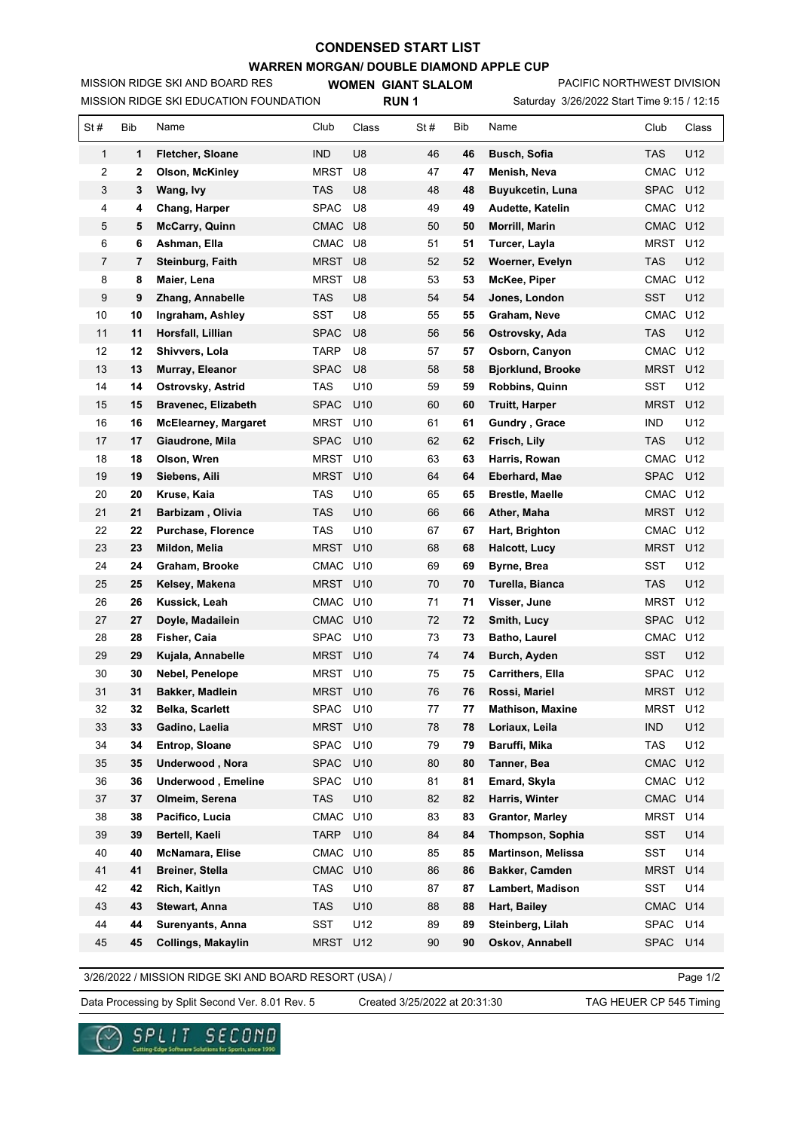## **CONDENSED START LIST**

**WARREN MORGAN/ DOUBLE DIAMOND APPLE CUP**

MISSION RIDGE SKI EDUCATION FOUNDATION MISSION RIDGE SKI AND BOARD RES

**WOMEN GIANT SLALOM RUN 1**

Saturday 3/26/2022 Start Time 9:15 / 12:15 PACIFIC NORTHWEST DIVISION

| St#            | Bib      | Name                                    | Club               | Class           | St#      | Bib      | Name                                          | Club                | Class      |
|----------------|----------|-----------------------------------------|--------------------|-----------------|----------|----------|-----------------------------------------------|---------------------|------------|
| 1              | 1        | <b>Fletcher, Sloane</b>                 | <b>IND</b>         | U <sub>8</sub>  | 46       | 46       | <b>Busch, Sofia</b>                           | TAS                 | U12        |
| 2              | 2        | <b>Olson, McKinley</b>                  | MRST               | U8              | 47       | 47       | Menish, Neva                                  | CMAC                | U12        |
| 3              | 3        | Wang, Ivy                               | TAS                | U8              | 48       | 48       | <b>Buyukcetin, Luna</b>                       | <b>SPAC</b>         | U12        |
| 4              | 4        | Chang, Harper                           | SPAC               | U8              | 49       | 49       | Audette, Katelin                              | <b>CMAC</b>         | U12        |
| 5              | 5        | <b>McCarry, Quinn</b>                   | <b>CMAC</b>        | U <sub>8</sub>  | 50       | 50       | Morrill, Marin                                | <b>CMAC</b>         | U12        |
| 6              | 6        | Ashman, Ella                            | <b>CMAC</b>        | U8              | 51       | 51       | Turcer, Layla                                 | <b>MRST</b>         | U12        |
| $\overline{7}$ | 7        | Steinburg, Faith                        | <b>MRST</b>        | U <sub>8</sub>  | 52       | 52       | Woerner, Evelyn                               | <b>TAS</b>          | U12        |
| 8              | 8        | Maier, Lena                             | MRST               | U8              | 53       | 53       | McKee, Piper                                  | CMAC                | U12        |
| 9              | 9        | Zhang, Annabelle                        | <b>TAS</b>         | U <sub>8</sub>  | 54       | 54       | Jones, London                                 | <b>SST</b>          | U12        |
| 10             | 10       | Ingraham, Ashley                        | SST                | U8              | 55       | 55       | Graham, Neve                                  | CMAC                | U12        |
| 11             | 11       | Horsfall, Lillian                       | <b>SPAC</b>        | U <sub>8</sub>  | 56       | 56       | Ostrovsky, Ada                                | <b>TAS</b>          | U12        |
| 12             | 12       | Shivvers, Lola                          | TARP               | U8              | 57       | 57       | Osborn, Canyon                                | CMAC                | U12        |
| 13             | 13       | Murray, Eleanor                         | SPAC               | U <sub>8</sub>  | 58       | 58       | <b>Bjorklund, Brooke</b>                      | MRST                | U12        |
| 14             | 14       | Ostrovsky, Astrid                       | TAS                | U10             | 59       | 59       | <b>Robbins, Quinn</b>                         | SST                 | U12        |
| 15             | 15       | <b>Bravenec, Elizabeth</b>              | <b>SPAC</b>        | U <sub>10</sub> | 60       | 60       | <b>Truitt, Harper</b>                         | MRST                | U12        |
| 16             | 16       | <b>McElearney, Margaret</b>             | MRST               | U <sub>10</sub> | 61       | 61       | Gundry, Grace                                 | <b>IND</b>          | U12        |
| 17             | 17       | Giaudrone, Mila                         | <b>SPAC</b>        | U <sub>10</sub> | 62       | 62       | Frisch, Lily                                  | TAS                 | U12        |
| 18             | 18       | Olson, Wren                             | MRST               | U <sub>10</sub> | 63       | 63       | Harris, Rowan                                 | CMAC                | U12        |
| 19             | 19       | Siebens, Aili                           | <b>MRST</b>        | U <sub>10</sub> | 64       | 64       | Eberhard, Mae                                 | <b>SPAC</b>         | U12        |
| 20             | 20       | Kruse, Kaia                             | TAS                | U <sub>10</sub> | 65       | 65       | <b>Brestle, Maelle</b>                        | CMAC                | U12        |
| 21             | 21       | Barbizam, Olivia                        | <b>TAS</b>         | U <sub>10</sub> | 66       | 66       | Ather, Maha                                   | <b>MRST</b>         | U12        |
| 22             | 22       | Purchase, Florence                      | TAS                | U <sub>10</sub> | 67       | 67       | Hart, Brighton                                | <b>CMAC</b>         | U12        |
| 23             | 23       | Mildon, Melia                           | <b>MRST</b>        | U <sub>10</sub> | 68       | 68       | <b>Halcott, Lucy</b>                          | <b>MRST</b>         | U12        |
| 24             | 24       | Graham, Brooke                          | CMAC               | U <sub>10</sub> | 69       | 69       | Byrne, Brea                                   | SST                 | U12        |
| 25             | 25       | Kelsey, Makena                          | <b>MRST</b>        | U <sub>10</sub> | 70       | 70       | Turella, Bianca                               | TAS                 | U12        |
| 26             | 26       | Kussick, Leah                           | CMAC U10           |                 | 71       | 71       | Visser, June                                  | <b>MRST</b>         | U12        |
| 27             | 27       | Doyle, Madailein                        | CMAC               | U <sub>10</sub> | 72       | 72       | Smith, Lucy                                   | <b>SPAC</b>         | U12        |
| 28             | 28       | Fisher, Caia                            | <b>SPAC</b>        | U <sub>10</sub> | 73       | 73       | <b>Batho, Laurel</b>                          | <b>CMAC</b>         | U12        |
| 29             | 29       | Kujala, Annabelle                       | MRST               | U <sub>10</sub> | 74       | 74       | Burch, Ayden                                  | <b>SST</b>          | U12        |
| 30             | 30       | Nebel, Penelope                         | MRST               | U <sub>10</sub> | 75       | 75       | <b>Carrithers, Ella</b>                       | <b>SPAC</b>         | U12        |
| 31             | 31       | Bakker, Madlein                         | MRST U10           |                 | 76       | 76       | Rossi, Mariel                                 | MRST                | U12        |
| 32             | 32       | <b>Belka, Scarlett</b>                  | SPAC U10           |                 | 77       | 77       | <b>Mathison, Maxine</b>                       | MRST U12            |            |
| 33             | 33       | Gadino, Laelia                          | MRST U10           |                 | 78       | 78       | Loriaux, Leila                                | ind                 | U12        |
| 34             | 34       | Entrop, Sloane                          | SPAC               | U10             | 79       | 79       | Baruffi, Mika                                 | TAS                 | U12        |
| 35             | 35       | Underwood, Nora                         | <b>SPAC</b>        | U10             | 80       | 80       | Tanner, Bea                                   | CMAC                | U12        |
| 36             | 36       | Underwood, Emeline                      | SPAC               | U10             | 81       | 81       | Emard, Skyla                                  | CMAC                | U12        |
| 37             | 37<br>38 | Olmeim, Serena                          | <b>TAS</b><br>CMAC | U10<br>U10      | 82<br>83 | 82       | Harris, Winter                                | CMAC<br><b>MRST</b> | U14<br>U14 |
| 38             |          | Pacifico, Lucia                         |                    |                 |          | 83       | <b>Grantor, Marley</b>                        |                     |            |
| 39<br>40       | 39<br>40 | Bertell, Kaeli<br>McNamara, Elise       | TARP<br>CMAC U10   | U10             | 84<br>85 | 84       | Thompson, Sophia<br><b>Martinson, Melissa</b> | SST<br>SST          | U14<br>U14 |
| 41             | 41       |                                         |                    |                 |          | 85       | Bakker, Camden                                |                     |            |
| 42             | 42       | <b>Breiner, Stella</b><br>Rich, Kaitlyn | CMAC<br>TAS        | U10<br>U10      | 86<br>87 | 86       |                                               | <b>MRST</b><br>SST  | U14<br>U14 |
| 43             | 43       | Stewart, Anna                           | TAS                | U10             | 88       | 87<br>88 | Lambert, Madison<br>Hart, Bailey              | <b>CMAC</b>         | U14        |
| 44             | 44       |                                         | SST                | U12             | 89       |          |                                               |                     | U14        |
|                |          | Surenyants, Anna                        |                    |                 |          | 89       | Steinberg, Lilah                              | SPAC                |            |
| 45             | 45       | Collings, Makaylin                      | <b>MRST</b>        | U12             | 90       | 90       | Oskov, Annabell                               | <b>SPAC</b>         | U14        |

3/26/2022 / MISSION RIDGE SKI AND BOARD RESORT (USA) /

Page 1/2

Data Processing by Split Second Ver. 8.01 Rev. 5 Created 3/25/2022 at 20:31:30 TAG HEUER CP 545 Timing

Created 3/25/2022 at 20:31:30